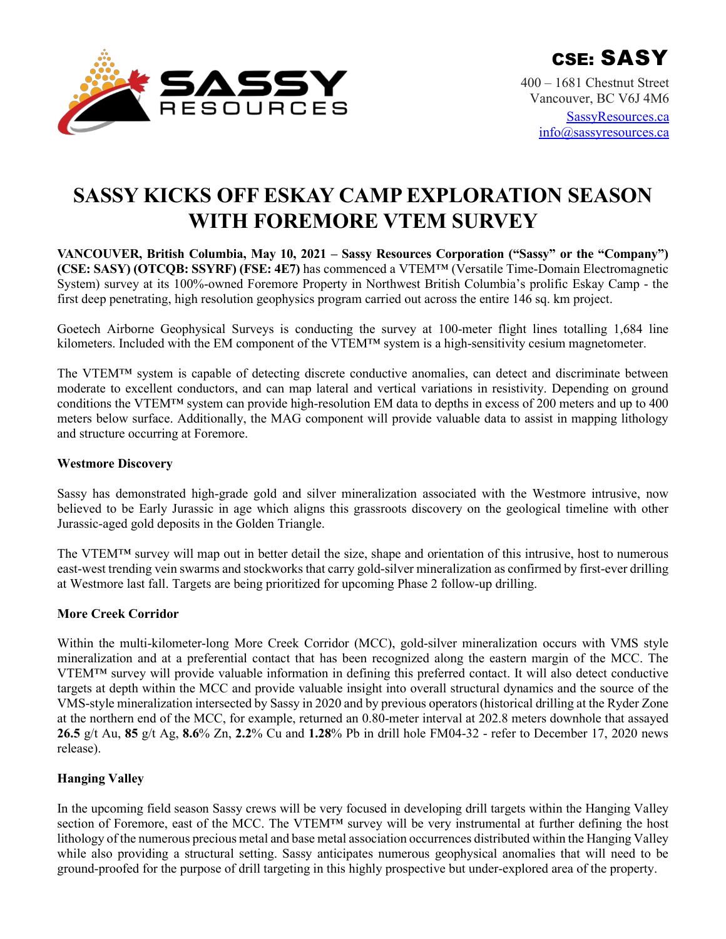

400 – 1681 Chestnut Street Vancouver, BC V6J 4M6 [SassyResources.ca](http://www.sassyresources.ca/) [info@sassyresources.ca](mailto:info@sassyresources.ca)

# **SASSY KICKS OFF ESKAY CAMP EXPLORATION SEASON WITH FOREMORE VTEM SURVEY**

**VANCOUVER, British Columbia, May 10, 2021 – Sassy Resources Corporation ("Sassy" or the "Company") (CSE: SASY) (OTCQB: SSYRF) (FSE: 4E7)** has commenced a VTEM™ (Versatile Time-Domain Electromagnetic System) survey at its 100%-owned Foremore Property in Northwest British Columbia's prolific Eskay Camp - the first deep penetrating, high resolution geophysics program carried out across the entire 146 sq. km project.

Goetech Airborne Geophysical Surveys is conducting the survey at 100-meter flight lines totalling 1,684 line kilometers. Included with the EM component of the VTEM™ system is a high-sensitivity cesium magnetometer.

The VTEM<sup>™</sup> system is capable of detecting discrete conductive anomalies, can detect and discriminate between moderate to excellent conductors, and can map lateral and vertical variations in resistivity. Depending on ground conditions the VTEM™ system can provide high-resolution EM data to depths in excess of 200 meters and up to 400 meters below surface. Additionally, the MAG component will provide valuable data to assist in mapping lithology and structure occurring at Foremore.

#### **Westmore Discovery**

Sassy has demonstrated high-grade gold and silver mineralization associated with the Westmore intrusive, now believed to be Early Jurassic in age which aligns this grassroots discovery on the geological timeline with other Jurassic-aged gold deposits in the Golden Triangle.

The VTEM™ survey will map out in better detail the size, shape and orientation of this intrusive, host to numerous east-west trending vein swarms and stockworks that carry gold-silver mineralization as confirmed by first-ever drilling at Westmore last fall. Targets are being prioritized for upcoming Phase 2 follow-up drilling.

# **More Creek Corridor**

Within the multi-kilometer-long More Creek Corridor (MCC), gold-silver mineralization occurs with VMS style mineralization and at a preferential contact that has been recognized along the eastern margin of the MCC. The VTEM™ survey will provide valuable information in defining this preferred contact. It will also detect conductive targets at depth within the MCC and provide valuable insight into overall structural dynamics and the source of the VMS-style mineralization intersected by Sassy in 2020 and by previous operators (historical drilling at the Ryder Zone at the northern end of the MCC, for example, returned an 0.80-meter interval at 202.8 meters downhole that assayed **26.5** g/t Au, **85** g/t Ag, **8.6**% Zn, **2.2**% Cu and **1.28**% Pb in drill hole FM04-32 - refer to December 17, 2020 news release).

# **Hanging Valley**

In the upcoming field season Sassy crews will be very focused in developing drill targets within the Hanging Valley section of Foremore, east of the MCC. The VTEM<sup>™</sup> survey will be very instrumental at further defining the host lithology of the numerous precious metal and base metal association occurrences distributed within the Hanging Valley while also providing a structural setting. Sassy anticipates numerous geophysical anomalies that will need to be ground-proofed for the purpose of drill targeting in this highly prospective but under-explored area of the property.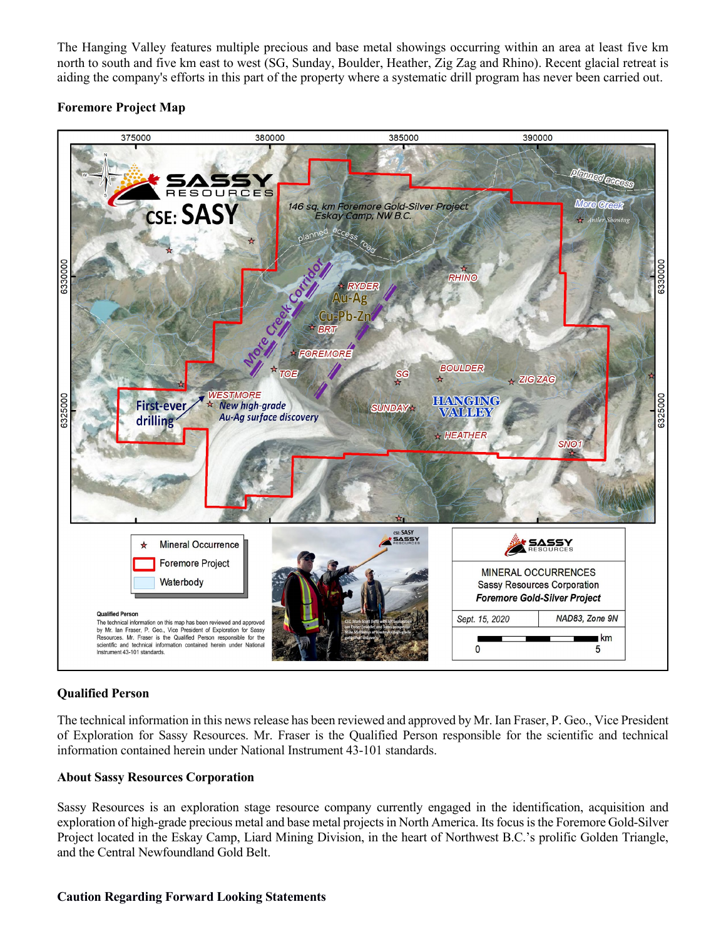The Hanging Valley features multiple precious and base metal showings occurring within an area at least five km north to south and five km east to west (SG, Sunday, Boulder, Heather, Zig Zag and Rhino). Recent glacial retreat is aiding the company's efforts in this part of the property where a systematic drill program has never been carried out.

# **Foremore Project Map**



# **Qualified Person**

The technical information in this news release has been reviewed and approved by Mr. Ian Fraser, P. Geo., Vice President of Exploration for Sassy Resources. Mr. Fraser is the Qualified Person responsible for the scientific and technical information contained herein under National Instrument 43-101 standards.

#### **About Sassy Resources Corporation**

Sassy Resources is an exploration stage resource company currently engaged in the identification, acquisition and exploration of high-grade precious metal and base metal projects in North America. Its focus is the Foremore Gold-Silver Project located in the Eskay Camp, Liard Mining Division, in the heart of Northwest B.C.'s prolific Golden Triangle, and the Central Newfoundland Gold Belt.

#### **Caution Regarding Forward Looking Statements**